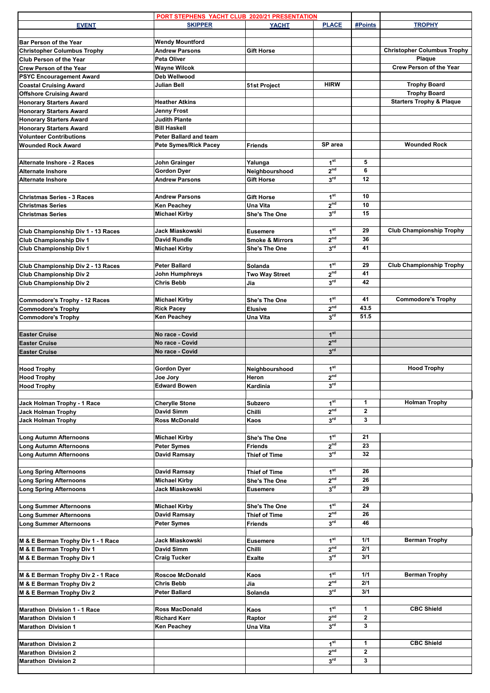|                                                                | PORT STEPHENS YACHT CLUB 2020/21 PRESENTATION        |                            |                                    |                |                                     |
|----------------------------------------------------------------|------------------------------------------------------|----------------------------|------------------------------------|----------------|-------------------------------------|
| <b>EVENT</b>                                                   | <b>SKIPPER</b>                                       | <b>YACHT</b>               | <b>PLACE</b>                       | #Points        | <b>TROPHY</b>                       |
| <b>Bar Person of the Year</b>                                  | <b>Wendy Mountford</b>                               |                            |                                    |                |                                     |
| <b>Christopher Columbus Trophy</b>                             | <b>Andrew Parsons</b>                                | Gift Horse                 |                                    |                | <b>Christopher Columbus Trophy</b>  |
| Club Person of the Year                                        | <b>Peta Oliver</b>                                   |                            |                                    |                | Plaque                              |
| <b>Crew Person of the Year</b>                                 | <b>Wayne Wilcok</b>                                  |                            |                                    |                | <b>Crew Person of the Year</b>      |
| <b>PSYC Encouragement Award</b>                                | Deb Wellwood                                         |                            |                                    |                |                                     |
| <b>Coastal Cruising Award</b>                                  | Julian Bell                                          | 51st Project               | <b>HIRW</b>                        |                | <b>Trophy Board</b>                 |
| <b>Offshore Cruising Award</b>                                 |                                                      |                            |                                    |                | <b>Trophy Board</b>                 |
| <b>Honorary Starters Award</b>                                 | <b>Heather Atkins</b>                                |                            |                                    |                | <b>Starters Trophy &amp; Plaque</b> |
| <b>Honorary Starters Award</b>                                 | Jenny Frost                                          |                            |                                    |                |                                     |
| <b>Honorary Starters Award</b>                                 | <b>Judith Plante</b>                                 |                            |                                    |                |                                     |
| <b>Honorary Starters Award</b>                                 | <b>Bill Haskell</b><br><b>Peter Ballard and team</b> |                            |                                    |                |                                     |
| <b>Volunteer Contributions</b><br><b>Wounded Rock Award</b>    | <b>Pete Symes/Rick Pacey</b>                         | <b>Friends</b>             | SP area                            |                | <b>Wounded Rock</b>                 |
|                                                                |                                                      |                            |                                    |                |                                     |
| Alternate Inshore - 2 Races                                    | John Grainger                                        | Yalunga                    | 1 <sup>st</sup>                    | 5              |                                     |
| <b>Alternate Inshore</b>                                       | <b>Gordon Dyer</b>                                   | Neighbourshood             | 2 <sup>nd</sup>                    | 6              |                                     |
| <b>Alternate Inshore</b>                                       | <b>Andrew Parsons</b>                                | Gift Horse                 | 3 <sup>rd</sup>                    | 12             |                                     |
|                                                                |                                                      |                            |                                    |                |                                     |
| Christmas Series - 3 Races                                     | <b>Andrew Parsons</b>                                | Gift Horse                 | 1 <sup>st</sup>                    | 10             |                                     |
| <b>Christmas Series</b>                                        | <b>Ken Peachey</b>                                   | Una Vita                   | 2 <sup>nd</sup>                    | 10             |                                     |
| <b>Christmas Series</b>                                        | <b>Michael Kirby</b>                                 | She's The One              | $3^{\text{rd}}$                    | 15             |                                     |
|                                                                |                                                      |                            |                                    |                |                                     |
| Club Championship Div 1 - 13 Races                             | Jack Miaskowski                                      | <b>Eusemere</b>            | 1 <sup>st</sup><br>2 <sup>nd</sup> | 29             | <b>Club Championship Trophy</b>     |
| <b>Club Championship Div 1</b>                                 | <b>David Rundle</b>                                  | <b>Smoke &amp; Mirrors</b> | 3 <sup>rd</sup>                    | 36<br>41       |                                     |
| Club Championship Div 1                                        | <b>Michael Kirby</b>                                 | She's The One              |                                    |                |                                     |
| Club Championship Div 2 - 13 Races                             | <b>Peter Ballard</b>                                 | Solanda                    | 1 <sup>st</sup>                    | 29             | <b>Club Championship Trophy</b>     |
| <b>Club Championship Div 2</b>                                 | John Humphreys                                       | <b>Two Way Street</b>      | 2 <sup>nd</sup>                    | 41             |                                     |
| <b>Club Championship Div 2</b>                                 | <b>Chris Bebb</b>                                    | Jia                        | 3 <sup>rd</sup>                    | 42             |                                     |
|                                                                |                                                      |                            |                                    |                |                                     |
| Commodore's Trophy - 12 Races                                  | <b>Michael Kirby</b>                                 | She's The One              | 1 <sup>st</sup>                    | 41             | <b>Commodore's Trophy</b>           |
| <b>Commodore's Trophy</b>                                      | <b>Rick Pacey</b>                                    | <b>Elusive</b>             | 2 <sup>nd</sup>                    | 43.5           |                                     |
| <b>Commodore's Trophy</b>                                      | <b>Ken Peachey</b>                                   | Una Vita                   | 3 <sup>rd</sup>                    | 51.5           |                                     |
|                                                                |                                                      |                            |                                    |                |                                     |
| <b>Easter Cruise</b>                                           | No race - Covid                                      |                            | 1 <sup>st</sup>                    |                |                                     |
| <b>Easter Cruise</b>                                           | No race - Covid                                      |                            | 2 <sup>nd</sup><br>3 <sup>rd</sup> |                |                                     |
|                                                                | No race - Covid                                      |                            |                                    |                |                                     |
| <b>Easter Cruise</b>                                           |                                                      |                            |                                    |                |                                     |
|                                                                |                                                      |                            |                                    |                |                                     |
| <b>Hood Trophy</b>                                             | <b>Gordon Dyer</b>                                   | Neighbourshood             | 1 <sup>st</sup>                    |                | <b>Hood Trophy</b>                  |
| <b>Hood Trophy</b>                                             | Joe Jory                                             | Heron                      | 2 <sup>nd</sup>                    |                |                                     |
| <b>Hood Trophy</b>                                             | <b>Edward Bowen</b>                                  | Kardinia                   | 3 <sup>rd</sup>                    |                |                                     |
| Jack Holman Trophy - 1 Race                                    | <b>Cherylle Stone</b>                                | Subzero                    | 1 <sup>st</sup>                    | 1              | <b>Holman Trophy</b>                |
| <b>Jack Holman Trophy</b>                                      | David Simm                                           | Chilli                     | 2 <sup>nd</sup>                    | $\mathbf{2}$   |                                     |
| <b>Jack Holman Trophy</b>                                      | <b>Ross McDonald</b>                                 | Kaos                       | 3 <sup>rd</sup>                    | 3              |                                     |
|                                                                |                                                      |                            |                                    |                |                                     |
| <b>Long Autumn Afternoons</b>                                  | <b>Michael Kirby</b>                                 | She's The One              | 1 <sup>st</sup>                    | 21             |                                     |
| <b>Long Autumn Afternoons</b>                                  | <b>Peter Symes</b>                                   | <b>Friends</b>             | 2 <sup>nd</sup>                    | 23             |                                     |
| <b>Long Autumn Afternoons</b>                                  | David Ramsay                                         | Thief of Time              | 3 <sup>rd</sup>                    | 32             |                                     |
|                                                                |                                                      |                            |                                    |                |                                     |
| <b>Long Spring Afternoons</b>                                  | David Ramsay                                         | Thief of Time              | 1 <sup>st</sup>                    | 26             |                                     |
| <b>Long Spring Afternoons</b><br><b>Long Spring Afternoons</b> | <b>Michael Kirby</b><br>Jack Miaskowski              | She's The One<br>Eusemere  | 2 <sup>nd</sup><br>3 <sup>rd</sup> | 26<br>29       |                                     |
|                                                                |                                                      |                            |                                    |                |                                     |
| <b>Long Summer Afternoons</b>                                  | <b>Michael Kirby</b>                                 | She's The One              | 1 <sup>st</sup>                    | 24             |                                     |
| <b>Long Summer Afternoons</b>                                  | David Ramsay                                         | Thief of Time              | 2 <sup>nd</sup>                    | 26             |                                     |
| <b>Long Summer Afternoons</b>                                  | <b>Peter Symes</b>                                   | <b>Friends</b>             | 3 <sup>rd</sup>                    | 46             |                                     |
|                                                                |                                                      |                            |                                    |                |                                     |
| M & E Berman Trophy Div 1 - 1 Race                             | Jack Miaskowski                                      | <b>Eusemere</b>            | 1 <sup>st</sup>                    | 1/1            | <b>Berman Trophy</b>                |
| M & E Berman Trophy Div 1                                      | David Simm                                           | Chilli                     | 2 <sup>nd</sup>                    | 2/1            |                                     |
| M & E Berman Trophy Div 1                                      | <b>Craig Tucker</b>                                  | <b>Exalte</b>              | 3 <sup>rd</sup>                    | 3/1            |                                     |
|                                                                |                                                      |                            |                                    |                |                                     |
| M & E Berman Trophy Div 2 - 1 Race                             | <b>Roscoe McDonald</b>                               | Kaos                       | 1 <sup>st</sup><br>2 <sup>nd</sup> | 1/1<br>2/1     | <b>Berman Trophy</b>                |
| M & E Berman Trophy Div 2                                      | Chris Bebb<br><b>Peter Ballard</b>                   | Jia<br>Solanda             | 3 <sup>rd</sup>                    | 3/1            |                                     |
| M & E Berman Trophy Div 2                                      |                                                      |                            |                                    |                |                                     |
| <b>Marathon Division 1 - 1 Race</b>                            | <b>Ross MacDonald</b>                                | Kaos                       | 1 <sup>st</sup>                    | 1              | <b>CBC Shield</b>                   |
| <b>Marathon Division 1</b>                                     | <b>Richard Kerr</b>                                  | Raptor                     | 2 <sup>nd</sup>                    | $\mathbf{2}$   |                                     |
| <b>Marathon Division 1</b>                                     | Ken Peachey                                          | Una Vita                   | 3 <sup>rd</sup>                    | 3              |                                     |
|                                                                |                                                      |                            |                                    |                |                                     |
| <b>Marathon Division 2</b>                                     |                                                      |                            | 1 <sup>st</sup>                    | 1              | <b>CBC Shield</b>                   |
| <b>Marathon Division 2</b>                                     |                                                      |                            | 2 <sup>nd</sup>                    | $\overline{2}$ |                                     |
| <b>Marathon Division 2</b>                                     |                                                      |                            | 3 <sup>rd</sup>                    | 3              |                                     |